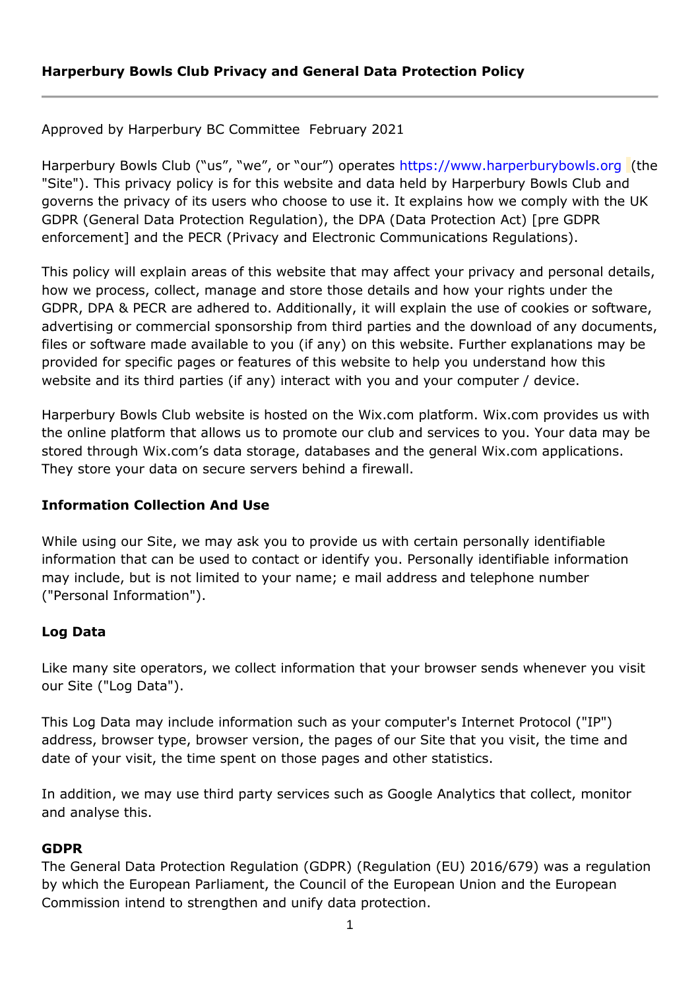Approved by Harperbury BC Committee February 2021

Harperbury Bowls Club ("us", "we", or "our") operates [https://www.harperburybowls.org](https://www.harperburybowls.org/) (the "Site"). This privacy policy is for this website and data held by Harperbury Bowls Club and governs the privacy of its users who choose to use it. It explains how we comply with the UK GDPR (General Data Protection Regulation), the DPA (Data Protection Act) [pre GDPR enforcement] and the PECR (Privacy and Electronic Communications Regulations).

This policy will explain areas of this website that may affect your privacy and personal details, how we process, collect, manage and store those details and how your rights under the GDPR, DPA & PECR are adhered to. Additionally, it will explain the use of cookies or software, advertising or commercial sponsorship from third parties and the download of any documents, files or software made available to you (if any) on this website. Further explanations may be provided for specific pages or features of this website to help you understand how this website and its third parties (if any) interact with you and your computer / device.

Harperbury Bowls Club website is hosted on the Wix.com platform. Wix.com provides us with the online platform that allows us to promote our club and services to you. Your data may be stored through Wix.com's data storage, databases and the general Wix.com applications. They store your data on secure servers behind a firewall.

### **Information Collection And Use**

While using our Site, we may ask you to provide us with certain personally identifiable information that can be used to contact or identify you. Personally identifiable information may include, but is not limited to your name; e mail address and telephone number ("Personal Information").

### **Log Data**

Like many site operators, we collect information that your browser sends whenever you visit our Site ("Log Data").

This Log Data may include information such as your computer's Internet Protocol ("IP") address, browser type, browser version, the pages of our Site that you visit, the time and date of your visit, the time spent on those pages and other statistics.

In addition, we may use third party services such as Google Analytics that collect, monitor and analyse this.

### **GDPR**

The General Data Protection Regulation (GDPR) (Regulation (EU) 2016/679) was a regulation by which the European Parliament, the Council of the European Union and the European Commission intend to strengthen and unify data protection.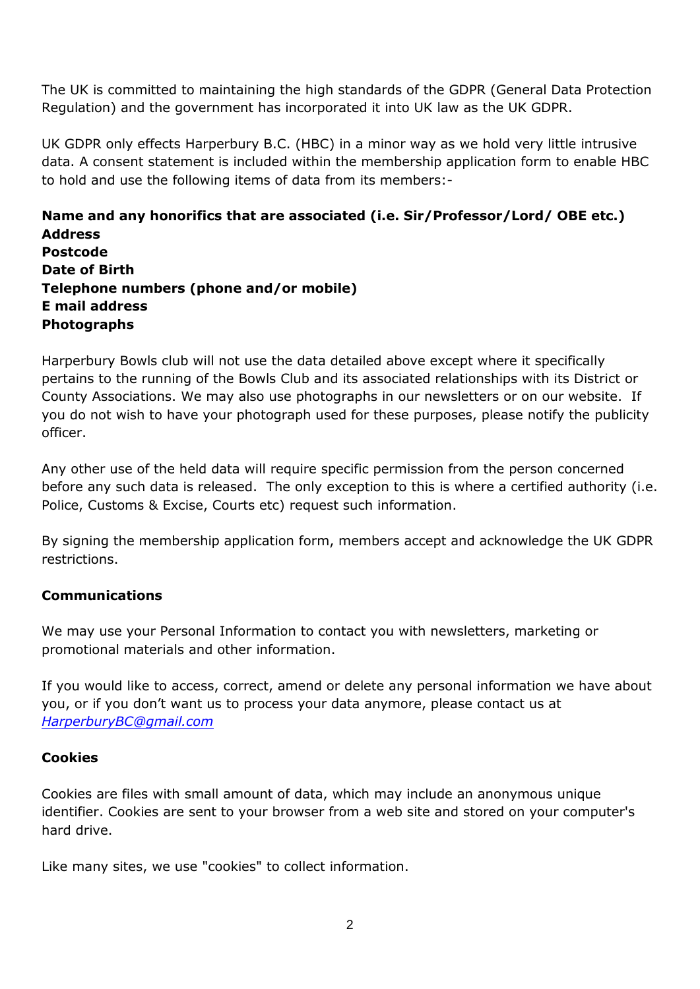The UK is committed to maintaining the high standards of the GDPR (General Data Protection Regulation) and the government has incorporated it into UK law as the UK GDPR.

UK GDPR only effects Harperbury B.C. (HBC) in a minor way as we hold very little intrusive data. A consent statement is included within the membership application form to enable HBC to hold and use the following items of data from its members:-

**Name and any honorifics that are associated (i.e. Sir/Professor/Lord/ OBE etc.) Address Postcode Date of Birth Telephone numbers (phone and/or mobile) E mail address Photographs**

Harperbury Bowls club will not use the data detailed above except where it specifically pertains to the running of the Bowls Club and its associated relationships with its District or County Associations. We may also use photographs in our newsletters or on our website. If you do not wish to have your photograph used for these purposes, please notify the publicity officer.

Any other use of the held data will require specific permission from the person concerned before any such data is released. The only exception to this is where a certified authority (i.e. Police, Customs & Excise, Courts etc) request such information.

By signing the membership application form, members accept and acknowledge the UK GDPR restrictions.

# **Communications**

We may use your Personal Information to contact you with newsletters, marketing or promotional materials and other information.

If you would like to access, correct, amend or delete any personal information we have about you, or if you don't want us to process your data anymore, please contact us at *[HarperburyBC@gmail.com](mailto:HarperburyBC@gmail.com)*

### **Cookies**

Cookies are files with small amount of data, which may include an anonymous unique identifier. Cookies are sent to your browser from a web site and stored on your computer's hard drive.

Like many sites, we use "cookies" to collect information.